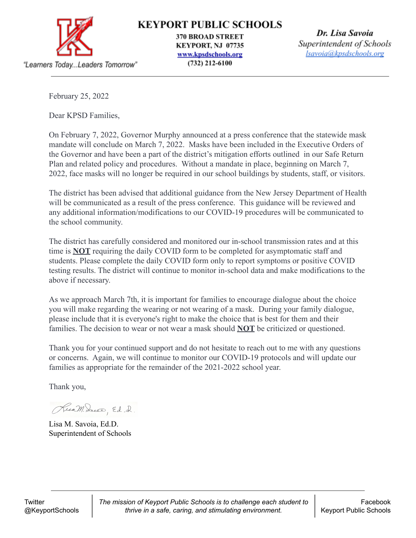

KEYPORT PUBLIC SCHOOLS

**370 BROAD STREET** KEYPORT, NJ 07735 www.kpsdschools.org  $(732)$  212-6100

Dr. Lisa Savoia Superintendent of Schools lsavoia@kpsdschools.org

February 25, 2022

Dear KPSD Families,

On February 7, 2022, Governor Murphy announced at a press conference that the statewide mask mandate will conclude on March 7, 2022. Masks have been included in the Executive Orders of the Governor and have been a part of the district's mitigation efforts outlined in our Safe Return Plan and related policy and procedures. Without a mandate in place, beginning on March 7, 2022, face masks will no longer be required in our school buildings by students, staff, or visitors.

The district has been advised that additional guidance from the New Jersey Department of Health will be communicated as a result of the press conference. This guidance will be reviewed and any additional information/modifications to our COVID-19 procedures will be communicated to the school community.

The district has carefully considered and monitored our in-school transmission rates and at this time is **NOT** requiring the daily COVID form to be completed for asymptomatic staff and students. Please complete the daily COVID form only to report symptoms or positive COVID testing results. The district will continue to monitor in-school data and make modifications to the above if necessary.

As we approach March 7th, it is important for families to encourage dialogue about the choice you will make regarding the wearing or not wearing of a mask. During your family dialogue, please include that it is everyone's right to make the choice that is best for them and their families. The decision to wear or not wear a mask should **NOT** be criticized or questioned.

Thank you for your continued support and do not hesitate to reach out to me with any questions or concerns. Again, we will continue to monitor our COVID-19 protocols and will update our families as appropriate for the remainder of the 2021-2022 school year.

Thank you,

Rua M. Dacce, Ed. D.

Lisa M. Savoia, Ed.D. Superintendent of Schools